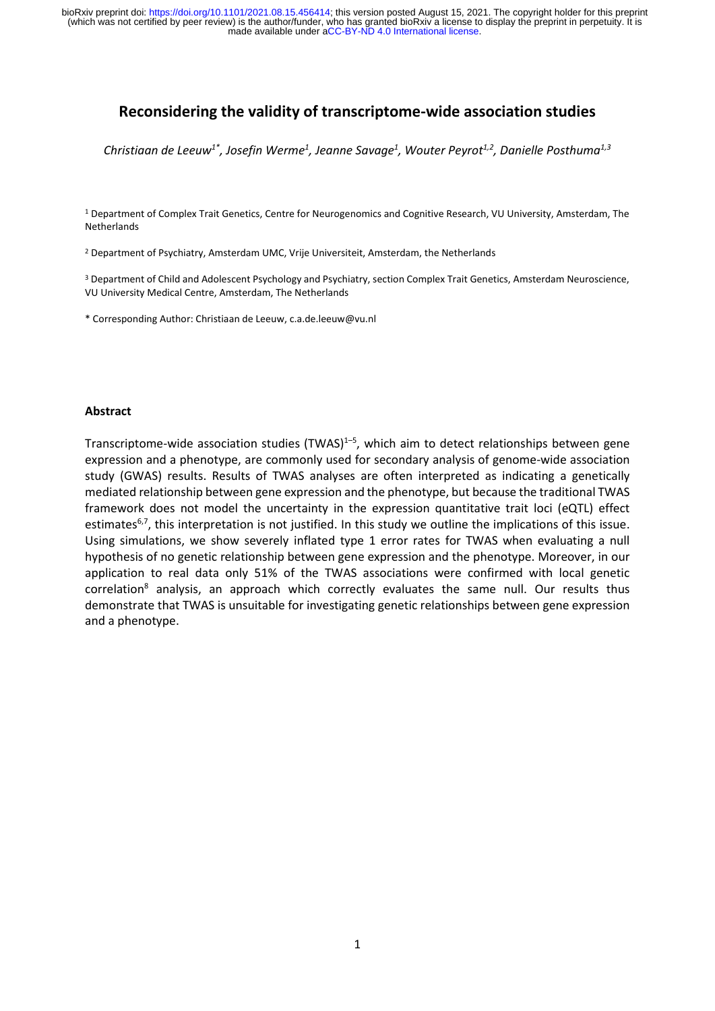# **Reconsidering the validity of transcriptome-wide association studies**

*Christiaan de Leeuw1\*, Josefin Werme<sup>1</sup> , Jeanne Savage<sup>1</sup> , Wouter Peyrot1,2, Danielle Posthuma1,3*

<sup>1</sup> Department of Complex Trait Genetics, Centre for Neurogenomics and Cognitive Research, VU University, Amsterdam, The Netherlands

<sup>2</sup> Department of Psychiatry, Amsterdam UMC, Vrije Universiteit, Amsterdam, the Netherlands

<sup>3</sup> Department of Child and Adolescent Psychology and Psychiatry, section Complex Trait Genetics, Amsterdam Neuroscience, VU University Medical Centre, Amsterdam, The Netherlands

\* Corresponding Author: Christiaan de Leeuw, c.a.de.leeuw@vu.nl

#### **Abstract**

Transcriptome-wide association studies (TWAS)<sup>1-5</sup>, which aim to detect relationships between gene expression and a phenotype, are commonly used for secondary analysis of genome-wide association study (GWAS) results. Results of TWAS analyses are often interpreted as indicating a genetically mediated relationship between gene expression and the phenotype, but because the traditional TWAS framework does not model the uncertainty in the expression quantitative trait loci (eQTL) effect estimates<sup>6,7</sup>, this interpretation is not justified. In this study we outline the implications of this issue. Using simulations, we show severely inflated type 1 error rates for TWAS when evaluating a null hypothesis of no genetic relationship between gene expression and the phenotype. Moreover, in our application to real data only 51% of the TWAS associations were confirmed with local genetic  $correlation<sup>8</sup>$  analysis, an approach which correctly evaluates the same null. Our results thus demonstrate that TWAS is unsuitable for investigating genetic relationships between gene expression and a phenotype.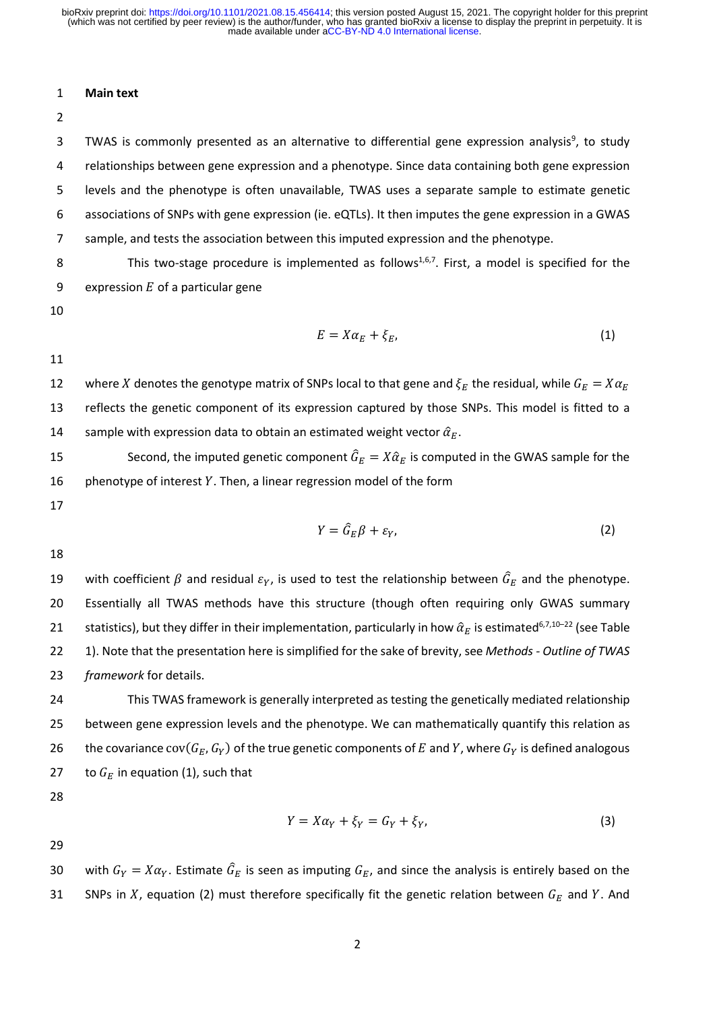#### 1 **Main text**

2

3 TWAS is commonly presented as an alternative to differential gene expression analysis<sup>9</sup>, to study relationships between gene expression and a phenotype. Since data containing both gene expression levels and the phenotype is often unavailable, TWAS uses a separate sample to estimate genetic associations of SNPs with gene expression (ie. eQTLs). It then imputes the gene expression in a GWAS sample, and tests the association between this imputed expression and the phenotype.

8 This two-stage procedure is implemented as follows<sup>1,6,7</sup>. First, a model is specified for the 9 expression  $E$  of a particular gene

10

$$
E = X\alpha_E + \xi_E, \tag{1}
$$

11

12 where X denotes the genotype matrix of SNPs local to that gene and  $\xi_E$  the residual, while  $G_E = X \alpha_E$ 13 reflects the genetic component of its expression captured by those SNPs. This model is fitted to a 14 sample with expression data to obtain an estimated weight vector  $\hat{\alpha}_E$ .

15 Second, the imputed genetic component  $\hat{G}_E = X \hat{\alpha}_E$  is computed in the GWAS sample for the 16 phenotype of interest  $Y$ . Then, a linear regression model of the form

17

$$
Y = \hat{G}_E \beta + \varepsilon_Y, \tag{2}
$$

18

19 with coefficient  $\beta$  and residual  $\varepsilon_Y$ , is used to test the relationship between  $\hat G_E$  and the phenotype. 20 Essentially all TWAS methods have this structure (though often requiring only GWAS summary 21 statistics), but they differ in their implementation, particularly in how  $\hat{\alpha}_E$  is estimated<sup>6,7,10–22</sup> (see Table 22 1). Note that the presentation here is simplified for the sake of brevity, see *Methods - Outline of TWAS*  23 *framework* for details.

24 This TWAS framework is generally interpreted as testing the genetically mediated relationship 25 between gene expression levels and the phenotype. We can mathematically quantify this relation as 26 the covariance  $cov(G_E, G_Y)$  of the true genetic components of E and Y, where  $G_Y$  is defined analogous 27 to  $G_F$  in equation (1), such that

28

$$
Y = X\alpha_Y + \xi_Y = G_Y + \xi_Y, \tag{3}
$$

29

30 with  $G_Y = X\alpha_Y$ . Estimate  $\hat{G}_E$  is seen as imputing  $G_E$ , and since the analysis is entirely based on the 31 SNPs in X, equation (2) must therefore specifically fit the genetic relation between  $G_E$  and Y. And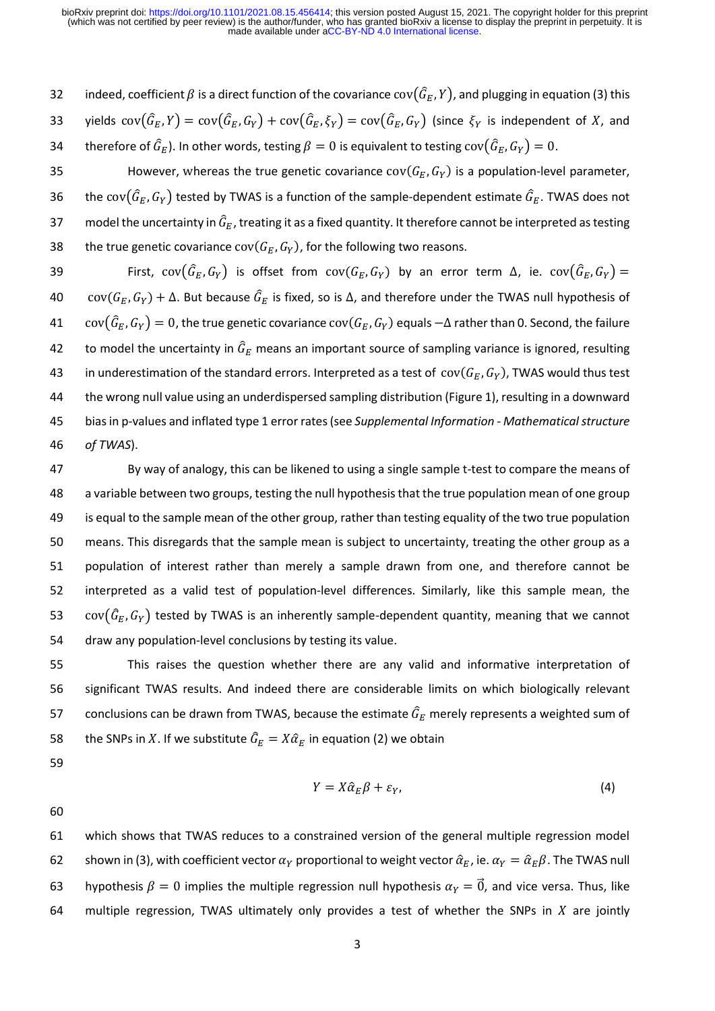32 indeed, coefficient  $\beta$  is a direct function of the covariance cov( $(\hat{G}_E, Y)$ , and plugging in equation (3) this 33 yields  $cov(\hat{G}_E,Y) = cov(\hat{G}_E,G_Y) + cov(\hat{G}_E,\xi_Y) = cov(\hat{G}_E,G_Y)$  (since  $\xi_Y$  is independent of X, and 34 berefore of  $\widehat G_E$ ). In other words, testing  $\beta=0$  is equivalent to testing  ${\rm cov}(\widehat G_E,G_Y)=0.$ 35 However, whereas the true genetic covariance  $cov(G_E, G_Y)$  is a population-level parameter, 36 bthe cov $(\widehat{G}_E,G_Y)$  tested by TWAS is a function of the sample-dependent estimate  $\widehat{G}_E$ . TWAS does not 37 model the uncertainty in  $\hat{G}_E$ , treating it as a fixed quantity. It therefore cannot be interpreted as testing 38 the true genetic covariance  $cov(G_E, G_Y)$ , for the following two reasons. 39 First,  $cov(\widehat{G}_E,G_Y)$  is offset from  $cov(G_E,G_Y)$  by an error term  $\Delta$ , ie.  $cov(\widehat{G}_E,G_Y) =$ 40 cov $(G_E, G_Y) + \Delta$ . But because  $\hat{G}_E$  is fixed, so is  $\Delta$ , and therefore under the TWAS null hypothesis of 41  $\quad \text{cov}(\widehat{G}_E,G_Y)=0$ , the true genetic covariance  $\text{cov}(G_E,G_Y)$  equals  $-\Delta$  rather than 0. Second, the failure 42 to model the uncertainty in  $\hat{G}_E$  means an important source of sampling variance is ignored, resulting 43 in underestimation of the standard errors. Interpreted as a test of  $cov(G_E, G_Y)$ , TWAS would thus test 44 the wrong null value using an underdispersed sampling distribution (Figure 1), resulting in a downward 45 bias in p-values and inflated type 1 error rates(see *Supplemental Information - Mathematical structure*  46 *of TWAS*).

 By way of analogy, this can be likened to using a single sample t-test to compare the means of a variable between two groups, testing the null hypothesis that the true population mean of one group is equal to the sample mean of the other group, rather than testing equality of the two true population means. This disregards that the sample mean is subject to uncertainty, treating the other group as a population of interest rather than merely a sample drawn from one, and therefore cannot be interpreted as a valid test of population-level differences. Similarly, like this sample mean, the  $cov(\hat{G}_E, G_Y)$  tested by TWAS is an inherently sample-dependent quantity, meaning that we cannot draw any population-level conclusions by testing its value.

55 This raises the question whether there are any valid and informative interpretation of 56 significant TWAS results. And indeed there are considerable limits on which biologically relevant 57 conclusions can be drawn from TWAS, because the estimate  $\hat{G}_E$  merely represents a weighted sum of 58 the SNPs in X. If we substitute  $\hat{G}_E = X \hat{\alpha}_E$  in equation (2) we obtain

59

$$
Y = X\hat{\alpha}_E\beta + \varepsilon_Y,\tag{4}
$$

60

61 which shows that TWAS reduces to a constrained version of the general multiple regression model 62 shown in (3), with coefficient vector  $\alpha_Y$  proportional to weight vector  $\hat{\alpha}_E$ , ie.  $\alpha_Y = \hat{\alpha}_E \beta$ . The TWAS null 63 hypothesis  $\beta = 0$  implies the multiple regression null hypothesis  $\alpha_Y = \vec{0}$ , and vice versa. Thus, like 64 multiple regression, TWAS ultimately only provides a test of whether the SNPs in  $X$  are jointly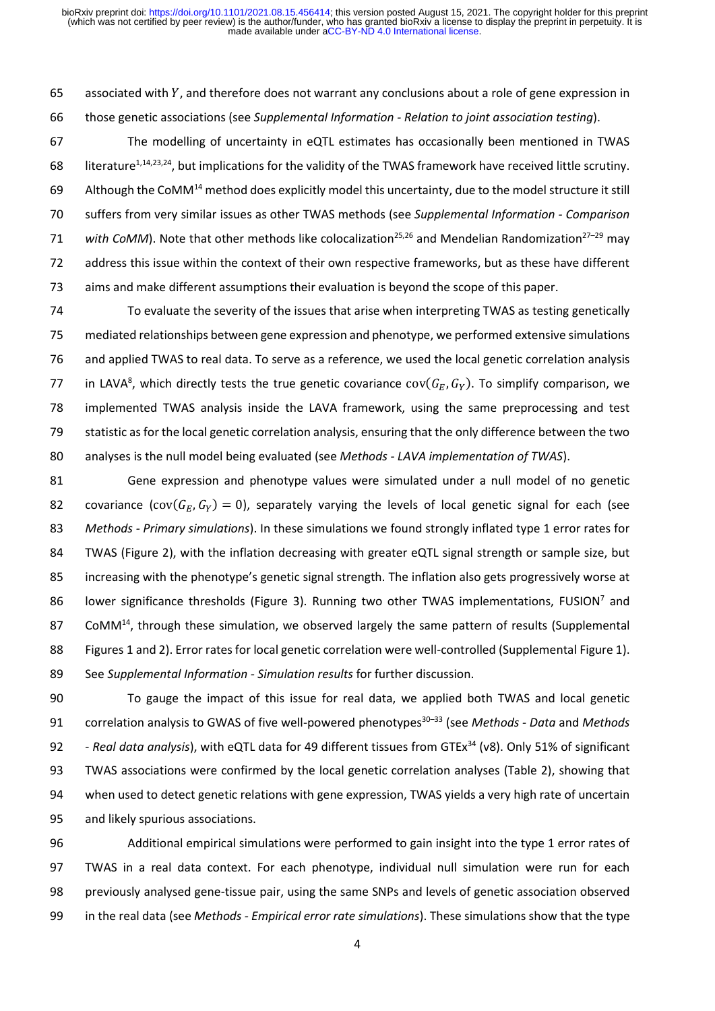65 associated with  $Y$ , and therefore does not warrant any conclusions about a role of gene expression in those genetic associations (see *Supplemental Information - Relation to joint association testing*).

 The modelling of uncertainty in eQTL estimates has occasionally been mentioned in TWAS 68 literature<sup>1,14,23,24</sup>, but implications for the validity of the TWAS framework have received little scrutiny. 69 Although the CoMM<sup>14</sup> method does explicitly model this uncertainty, due to the model structure it still suffers from very similar issues as other TWAS methods (see *Supplemental Information - Comparison*  71 with CoMM). Note that other methods like colocalization<sup>25,26</sup> and Mendelian Randomization<sup>27–29</sup> may address this issue within the context of their own respective frameworks, but as these have different aims and make different assumptions their evaluation is beyond the scope of this paper.

 To evaluate the severity of the issues that arise when interpreting TWAS as testing genetically mediated relationships between gene expression and phenotype, we performed extensive simulations and applied TWAS to real data. To serve as a reference, we used the local genetic correlation analysis 77 in LAVA<sup>8</sup>, which directly tests the true genetic covariance  $cov(G_E, G_Y)$ . To simplify comparison, we implemented TWAS analysis inside the LAVA framework, using the same preprocessing and test statistic as for the local genetic correlation analysis, ensuring that the only difference between the two analyses is the null model being evaluated (see *Methods - LAVA implementation of TWAS*).

 Gene expression and phenotype values were simulated under a null model of no genetic 82 covariance (cov( $(G_F, G_V) = 0$ ), separately varying the levels of local genetic signal for each (see *Methods - Primary simulations*). In these simulations we found strongly inflated type 1 error rates for TWAS (Figure 2), with the inflation decreasing with greater eQTL signal strength or sample size, but increasing with the phenotype's genetic signal strength. The inflation also gets progressively worse at 86 Iower significance thresholds (Figure 3). Running two other TWAS implementations, FUSION<sup>7</sup> and 87 CoMM $<sup>14</sup>$ , through these simulation, we observed largely the same pattern of results (Supplemental</sup> Figures 1 and 2). Error rates for local genetic correlation were well-controlled (Supplemental Figure 1). See *Supplemental Information - Simulation results* for further discussion.

 To gauge the impact of this issue for real data, we applied both TWAS and local genetic 91 correlation analysis to GWAS of five well-powered phenotypes<sup>30-33</sup> (see *Methods - Data* and *Methods - Real data analysis*), with eQTL data for 49 different tissues from GTEx<sup>34</sup> (v8). Only 51% of significant TWAS associations were confirmed by the local genetic correlation analyses (Table 2), showing that when used to detect genetic relations with gene expression, TWAS yields a very high rate of uncertain and likely spurious associations.

 Additional empirical simulations were performed to gain insight into the type 1 error rates of TWAS in a real data context. For each phenotype, individual null simulation were run for each previously analysed gene-tissue pair, using the same SNPs and levels of genetic association observed in the real data (see *Methods - Empirical error rate simulations*). These simulations show that the type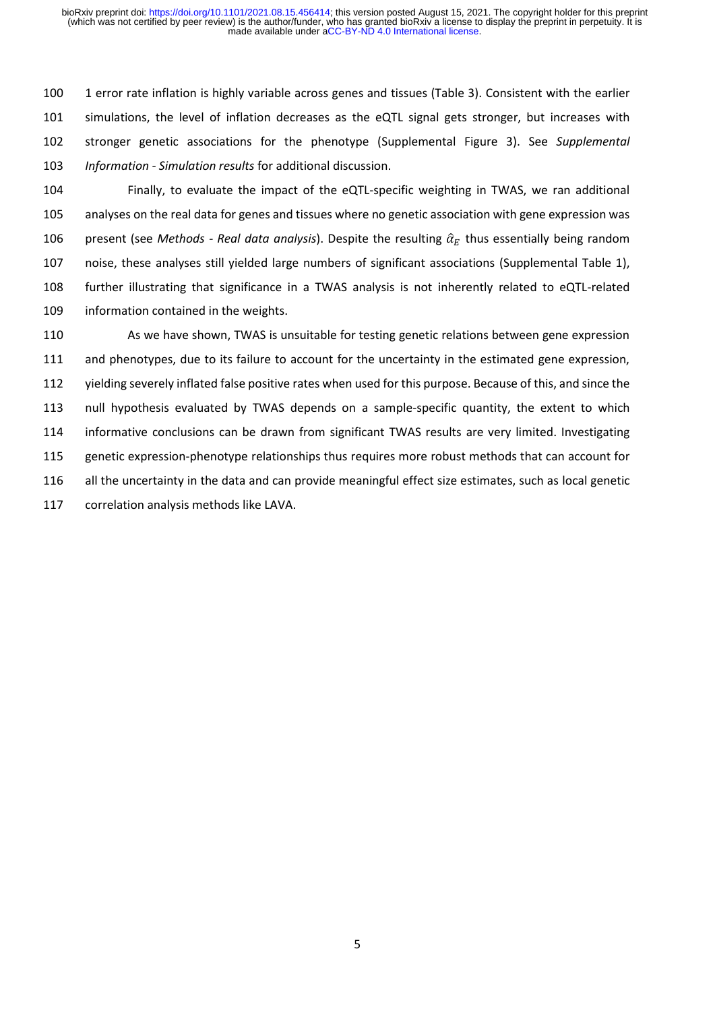1 error rate inflation is highly variable across genes and tissues (Table 3). Consistent with the earlier simulations, the level of inflation decreases as the eQTL signal gets stronger, but increases with stronger genetic associations for the phenotype (Supplemental Figure 3). See *Supplemental Information - Simulation results* for additional discussion.

 Finally, to evaluate the impact of the eQTL-specific weighting in TWAS, we ran additional analyses on the real data for genes and tissues where no genetic association with gene expression was 106 present (see *Methods - Real data analysis*). Despite the resulting  $\hat{a}_F$  thus essentially being random noise, these analyses still yielded large numbers of significant associations (Supplemental Table 1), further illustrating that significance in a TWAS analysis is not inherently related to eQTL-related information contained in the weights.

 As we have shown, TWAS is unsuitable for testing genetic relations between gene expression and phenotypes, due to its failure to account for the uncertainty in the estimated gene expression, yielding severely inflated false positive rates when used for this purpose. Because of this, and since the null hypothesis evaluated by TWAS depends on a sample-specific quantity, the extent to which informative conclusions can be drawn from significant TWAS results are very limited. Investigating genetic expression-phenotype relationships thus requires more robust methods that can account for all the uncertainty in the data and can provide meaningful effect size estimates, such as local genetic correlation analysis methods like LAVA.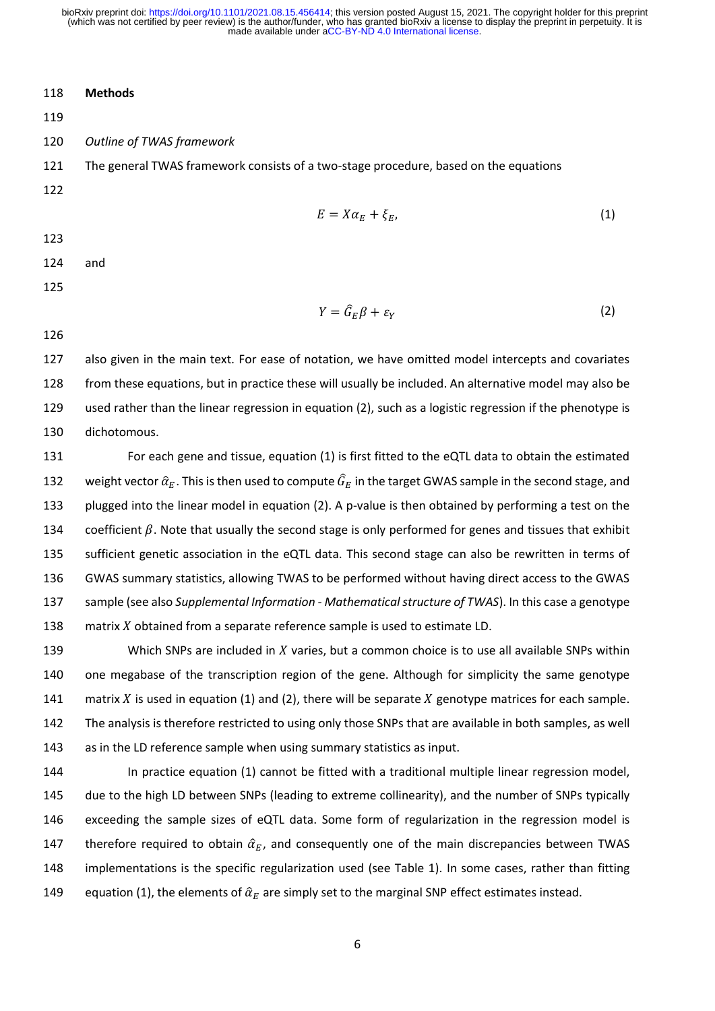### **Methods**

#### *Outline of TWAS framework*

 The general TWAS framework consists of a two-stage procedure, based on the equations 

$$
E = X\alpha_E + \xi_E, \tag{1}
$$

#### and

$$
Y = \hat{G}_E \beta + \varepsilon_Y \tag{2}
$$

 also given in the main text. For ease of notation, we have omitted model intercepts and covariates from these equations, but in practice these will usually be included. An alternative model may also be used rather than the linear regression in equation (2), such as a logistic regression if the phenotype is dichotomous.

 For each gene and tissue, equation (1) is first fitted to the eQTL data to obtain the estimated 132 weight vector  $\hat{\alpha}_F$ . This is then used to compute  $\hat{G}_F$  in the target GWAS sample in the second stage, and plugged into the linear model in equation (2). A p-value is then obtained by performing a test on the 134 coefficient  $\beta$ . Note that usually the second stage is only performed for genes and tissues that exhibit sufficient genetic association in the eQTL data. This second stage can also be rewritten in terms of GWAS summary statistics, allowing TWAS to be performed without having direct access to the GWAS sample (see also *Supplemental Information - Mathematical structure of TWAS*). In this case a genotype 138 matrix X obtained from a separate reference sample is used to estimate LD.

139 Which SNPs are included in  $X$  varies, but a common choice is to use all available SNPs within one megabase of the transcription region of the gene. Although for simplicity the same genotype 141 matrix X is used in equation (1) and (2), there will be separate X genotype matrices for each sample. The analysis is therefore restricted to using only those SNPs that are available in both samples, as well as in the LD reference sample when using summary statistics as input.

 In practice equation (1) cannot be fitted with a traditional multiple linear regression model, due to the high LD between SNPs (leading to extreme collinearity), and the number of SNPs typically exceeding the sample sizes of eQTL data. Some form of regularization in the regression model is 147 therefore required to obtain  $\hat{\alpha}_E$ , and consequently one of the main discrepancies between TWAS implementations is the specific regularization used (see Table 1). In some cases, rather than fitting 149 equation (1), the elements of  $\hat{\alpha}_F$  are simply set to the marginal SNP effect estimates instead.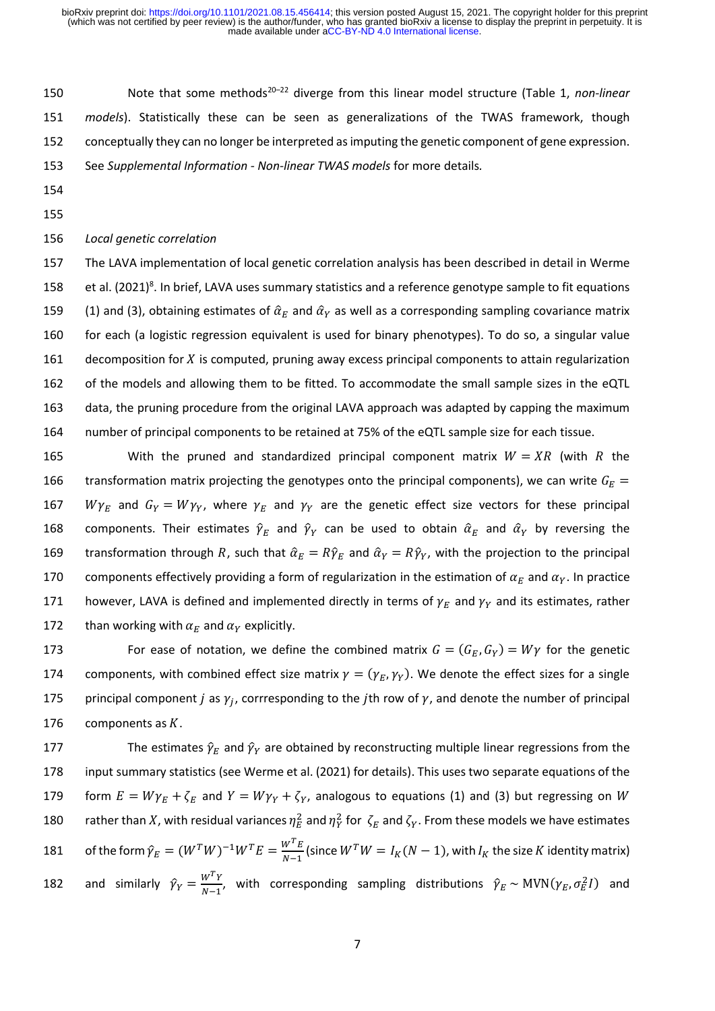150 Note that some methods<sup>20-22</sup> diverge from this linear model structure (Table 1, *non-linear models*). Statistically these can be seen as generalizations of the TWAS framework, though conceptually they can no longer be interpreted as imputing the genetic component of gene expression. See *Supplemental Information - Non-linear TWAS models* for more details*.*

- 154
- 155

#### 156 *Local genetic correlation*

 The LAVA implementation of local genetic correlation analysis has been described in detail in Werme 158 et al. (2021)<sup>8</sup>. In brief, LAVA uses summary statistics and a reference genotype sample to fit equations 159 (1) and (3), obtaining estimates of  $\hat{\alpha}_F$  and  $\hat{\alpha}_Y$  as well as a corresponding sampling covariance matrix for each (a logistic regression equivalent is used for binary phenotypes). To do so, a singular value 161 decomposition for  $X$  is computed, pruning away excess principal components to attain regularization of the models and allowing them to be fitted. To accommodate the small sample sizes in the eQTL data, the pruning procedure from the original LAVA approach was adapted by capping the maximum number of principal components to be retained at 75% of the eQTL sample size for each tissue.

165 With the pruned and standardized principal component matrix  $W = XR$  (with R the 166 transformation matrix projecting the genotypes onto the principal components), we can write  $G_F =$ 167 *W* $\gamma_E$  and  $G_Y = W \gamma_Y$ , where  $\gamma_E$  and  $\gamma_Y$  are the genetic effect size vectors for these principal 168 components. Their estimates  $\hat{\gamma}_E$  and  $\hat{\gamma}_Y$  can be used to obtain  $\hat{\alpha}_E$  and  $\hat{\alpha}_Y$  by reversing the 169 transformation through R, such that  $\hat{\alpha}_E = R\hat{\gamma}_E$  and  $\hat{\alpha}_Y = R\hat{\gamma}_Y$ , with the projection to the principal 170 components effectively providing a form of regularization in the estimation of  $\alpha_F$  and  $\alpha_V$ . In practice 171 however, LAVA is defined and implemented directly in terms of  $\gamma_E$  and  $\gamma_Y$  and its estimates, rather 172 than working with  $\alpha_F$  and  $\alpha_V$  explicitly.

173 For ease of notation, we define the combined matrix  $G = (G_E, G_Y) = W_Y$  for the genetic 174 components, with combined effect size matrix  $\gamma = (\gamma_E, \gamma_Y)$ . We denote the effect sizes for a single 175 principal component *j* as  $\gamma_i$ , corrresponding to the *j*th row of  $\gamma$ , and denote the number of principal 176 components as  $K$ .

177 The estimates  $\hat{\gamma}_E$  and  $\hat{\gamma}_Y$  are obtained by reconstructing multiple linear regressions from the 178 input summary statistics (see Werme et al. (2021) for details). This uses two separate equations of the 179 form  $E = W \gamma_E + \zeta_E$  and  $Y = W \gamma_Y + \zeta_Y$ , analogous to equations (1) and (3) but regressing on W 180 father than X, with residual variances  $\eta_E^2$  and  $\eta_Y^2$  for  $\zeta_E$  and  $\zeta_Y$ . From these models we have estimates of the form  $\hat{\gamma}_E = (W^T W)^{-1} W^T E = \frac{W^T E}{N-1}$ 181 of the form  $\hat{\gamma}_E = (W^T W)^{-1} W^T E = \frac{W^T E}{N-1}$  (since  $W^T W = I_K (N-1)$ , with  $I_K$  the size K identity matrix) and similarly  $\hat{\gamma}_Y = \frac{W^T Y}{N-1}$ 182 and similarly  $\hat{\gamma}_Y = \frac{W^+Y}{N-1}$ , with corresponding sampling distributions  $\hat{\gamma}_E \sim \text{MVN}(\gamma_E, \sigma_E^2 I)$  and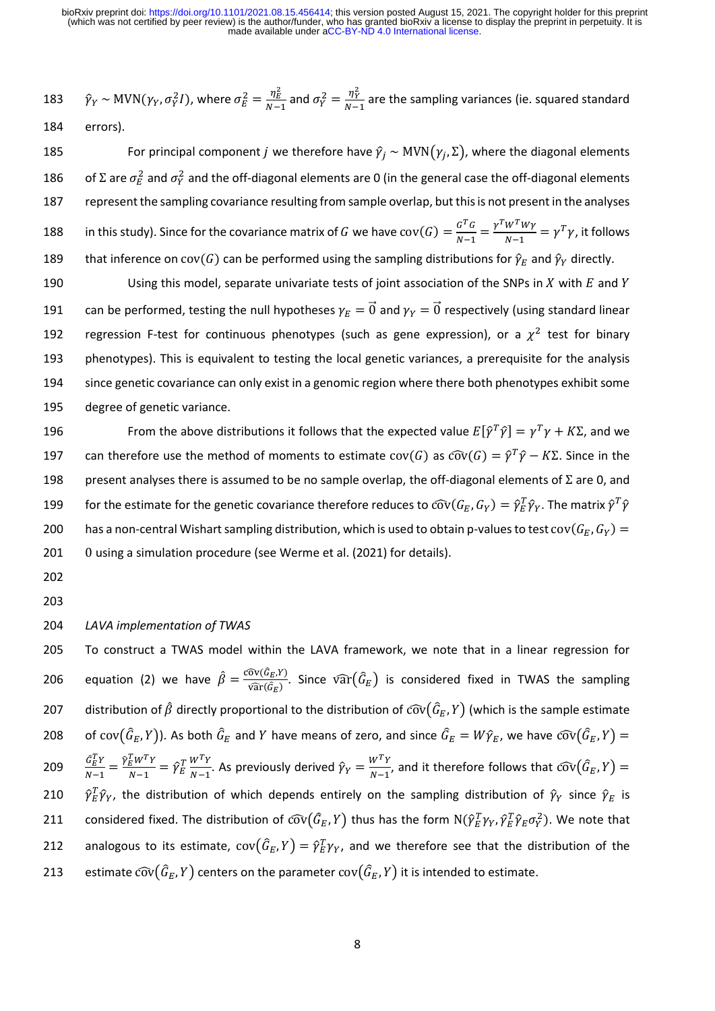$\hat{\gamma}_{Y} \sim \text{MVN}(\gamma_{Y}, \sigma_{Y}^2 I)$ , where  $\sigma_{E}^2 = \frac{\eta_{E}^2}{N-1}$  $\frac{\eta_E^2}{N-1}$  and  $\sigma_Y^2 = \frac{\eta_Y^2}{N-1}$ 183  $\hat{\gamma}_Y \sim \text{MVN}(\gamma_Y, \sigma_Y^2 I)$ , where  $\sigma_E^2 = \frac{\eta_E}{N-1}$  and  $\sigma_Y^2 = \frac{\eta_Y}{N-1}$  are the sampling variances (ie. squared standard 184 errors).

185 For principal component *j* we therefore have  $\hat{\gamma}_i \sim \text{MVN}(\gamma_i, \Sigma)$ , where the diagonal elements 186 are  $\sigma_E^2$  and  $\sigma_Y^2$  and the off-diagonal elements are 0 (in the general case the off-diagonal elements 187 represent the sampling covariance resulting from sample overlap, but this is not present in the analyses in this study). Since for the covariance matrix of  $G$  we have  $\mathrm{cov}(G) = \frac{G^T G}{N-1}$  $\frac{G^T G}{N-1} = \frac{\gamma^T W^T W \gamma}{N-1}$ 188 in this study). Since for the covariance matrix of G we have  $cov(G) = \frac{G \cdot G}{N-1} = \frac{Y \cdot W \cdot WY}{N-1} = \gamma^T \gamma$ , it follows 189 that inference on  $cov(G)$  can be performed using the sampling distributions for  $\hat{\gamma}_E$  and  $\hat{\gamma}_Y$  directly.

190 Using this model, separate univariate tests of joint association of the SNPs in  $X$  with  $E$  and  $Y$ 191 can be performed, testing the null hypotheses  $\gamma_E = \vec{0}$  and  $\gamma_Y = \vec{0}$  respectively (using standard linear 192 regression F-test for continuous phenotypes (such as gene expression), or a  $\chi^2$  test for binary 193 phenotypes). This is equivalent to testing the local genetic variances, a prerequisite for the analysis 194 since genetic covariance can only exist in a genomic region where there both phenotypes exhibit some 195 degree of genetic variance.

196 From the above distributions it follows that the expected value  $E[\hat{\gamma}^T\hat{\gamma}] = \gamma^T\gamma + K\Sigma$ , and we 197 can therefore use the method of moments to estimate  $cov(G)$  as  $\widehat{cov}(G) = \hat{\gamma}^T \hat{\gamma} - K \Sigma$ . Since in the 198 present analyses there is assumed to be no sample overlap, the off-diagonal elements of  $\Sigma$  are 0, and 199 but the estimate for the genetic covariance therefore reduces to  $\widehat{cov}(G_E,G_Y)=\hat\gamma_E^T\hat\gamma_Y.$  The matrix  $\hat\gamma^T\hat\gamma$ 200 has a non-central Wishart sampling distribution, which is used to obtain p-values to test cov $(G_E, G_Y)$  = 201 0 using a simulation procedure (see Werme et al. (2021) for details).

202

203

### 204 *LAVA implementation of TWAS*

205 To construct a TWAS model within the LAVA framework, we note that in a linear regression for equation (2) we have  $\hat{\beta} = \frac{\widehat{\text{cov}}(\hat{G}_E, Y)}{\widehat{\text{cov}}(\hat{G}_E)}$ 206 equation (2) we have  $\hat{\beta} = \frac{\text{cov}(G_E, Y)}{\text{var}(\hat{G}_E)}$ . Since  $\widehat{\text{var}}(\hat{G}_E)$  is considered fixed in TWAS the sampling 207 distribution of  $\hat{\beta}$  directly proportional to the distribution of  $\widehat{cov}(\hat{G}_E, Y)$  (which is the sample estimate 208 of cov $(\widehat G_E,Y)$ ). As both  $\widehat G_E$  and Y have means of zero, and since  $\widehat G_E=W\widehat\gamma_E$ , we have  $\widehat{cov}(\widehat G_E,Y)=0$  $\hat{G}_E^T Y$  $\frac{\hat{G}_E^T Y}{N-1} = \frac{\hat{\gamma}_E^T W^T Y}{N-1}$  $\frac{T_W T_Y}{N-1} = \hat{\gamma}_E^T \frac{W^T Y}{N-1}$  $\frac{W^T Y}{N-1}$ . As previously derived  $\hat{\gamma}_Y = \frac{W^T Y}{N-1}$ 209  $\frac{G_E Y}{N-1} = \frac{\gamma_E W Y Y}{N-1} = \hat{\gamma}_E^T \frac{W' Y}{N-1}$ . As previously derived  $\hat{\gamma}_Y = \frac{W' Y}{N-1}$ , and it therefore follows that  $\widehat{cov}(\hat{G}_E, Y)$ 210  $\hat{\gamma}_E^T\hat{\gamma}_Y$ , the distribution of which depends entirely on the sampling distribution of  $\hat{\gamma}_Y$  since  $\hat{\gamma}_E$  is 211 considered fixed. The distribution of  $\widehat{\rm cov}(\widehat G_E,Y)$  thus has the form  ${\rm N}(\widehat\gamma_E^T\gamma_Y,\widehat\gamma_E^T\widehat\gamma_E\sigma^2_Y).$  We note that 212 analogous to its estimate,  $cov(\hat{G}_E,Y) = \hat{\gamma}_E^T \gamma_Y$ , and we therefore see that the distribution of the 213 estimate  $\widehat{\text{cov}}(\widehat{G}_E,Y)$  centers on the parameter  $\text{cov}(\widehat{G}_E,Y)$  it is intended to estimate.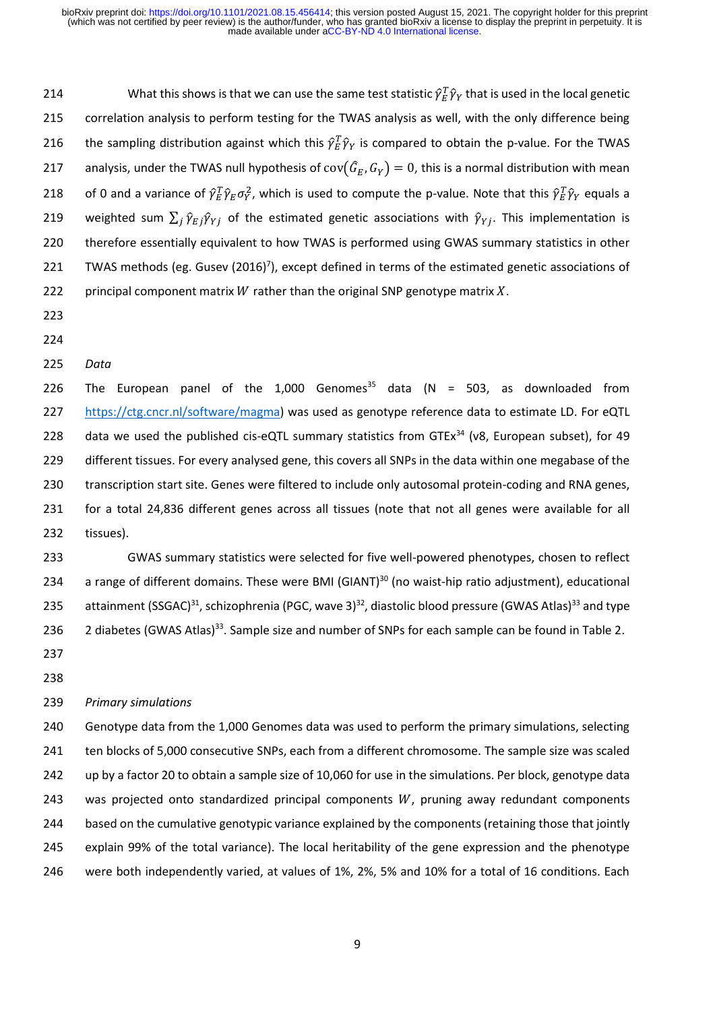214 **Solutify What this shows is that we can use the same test statistic**  $\hat{\gamma}_E^T\hat{\gamma}_Y$  **that is used in the local genetic** 215 correlation analysis to perform testing for the TWAS analysis as well, with the only difference being 216 in the sampling distribution against which this  $\hat{\gamma}_E^T \hat{\gamma}_Y$  is compared to obtain the p-value. For the TWAS 217 analysis, under the TWAS null hypothesis of  $cov(\hat{G}_E, G_Y) = 0$ , this is a normal distribution with mean 218 of 0 and a variance of  $\hat\gamma_E^T\hat\gamma_E\sigma_Y^2$ , which is used to compute the p-value. Note that this  $\hat\gamma_E^T\hat\gamma_Y$  equals a 219 weighted sum  $\sum_j \hat{\gamma}_{E j} \hat{\gamma}_{Y j}$  of the estimated genetic associations with  $\hat{\gamma}_{Y j}$ . This implementation is 220 therefore essentially equivalent to how TWAS is performed using GWAS summary statistics in other 221 TWAS methods (eg. Gusev  $(2016)^7$ ), except defined in terms of the estimated genetic associations of 222 principal component matrix W rather than the original SNP genotype matrix  $X$ .

- 223
- 224
- 225 *Data*

226 The European panel of the 1,000 Genomes<sup>35</sup> data (N = 503, as downloaded from [https://ctg.cncr.nl/software/magma\)](https://ctg.cncr.nl/software/magma) was used as genotype reference data to estimate LD. For eQTL 228 data we used the published cis-eQTL summary statistics from GTEx<sup>34</sup> (v8, European subset), for 49 different tissues. For every analysed gene, this covers all SNPs in the data within one megabase of the transcription start site. Genes were filtered to include only autosomal protein-coding and RNA genes, for a total 24,836 different genes across all tissues (note that not all genes were available for all tissues).

233 GWAS summary statistics were selected for five well-powered phenotypes, chosen to reflect 234 a range of different domains. These were BMI (GIANT)<sup>30</sup> (no waist-hip ratio adjustment), educational 235 attainment (SSGAC)<sup>31</sup>, schizophrenia (PGC, wave 3)<sup>32</sup>, diastolic blood pressure (GWAS Atlas)<sup>33</sup> and type 236 2 diabetes (GWAS Atlas)<sup>33</sup>. Sample size and number of SNPs for each sample can be found in Table 2.

237

238

## 239 *Primary simulations*

 Genotype data from the 1,000 Genomes data was used to perform the primary simulations, selecting ten blocks of 5,000 consecutive SNPs, each from a different chromosome. The sample size was scaled up by a factor 20 to obtain a sample size of 10,060 for use in the simulations. Per block, genotype data 243 was projected onto standardized principal components  $W$ , pruning away redundant components based on the cumulative genotypic variance explained by the components (retaining those that jointly explain 99% of the total variance). The local heritability of the gene expression and the phenotype were both independently varied, at values of 1%, 2%, 5% and 10% for a total of 16 conditions. Each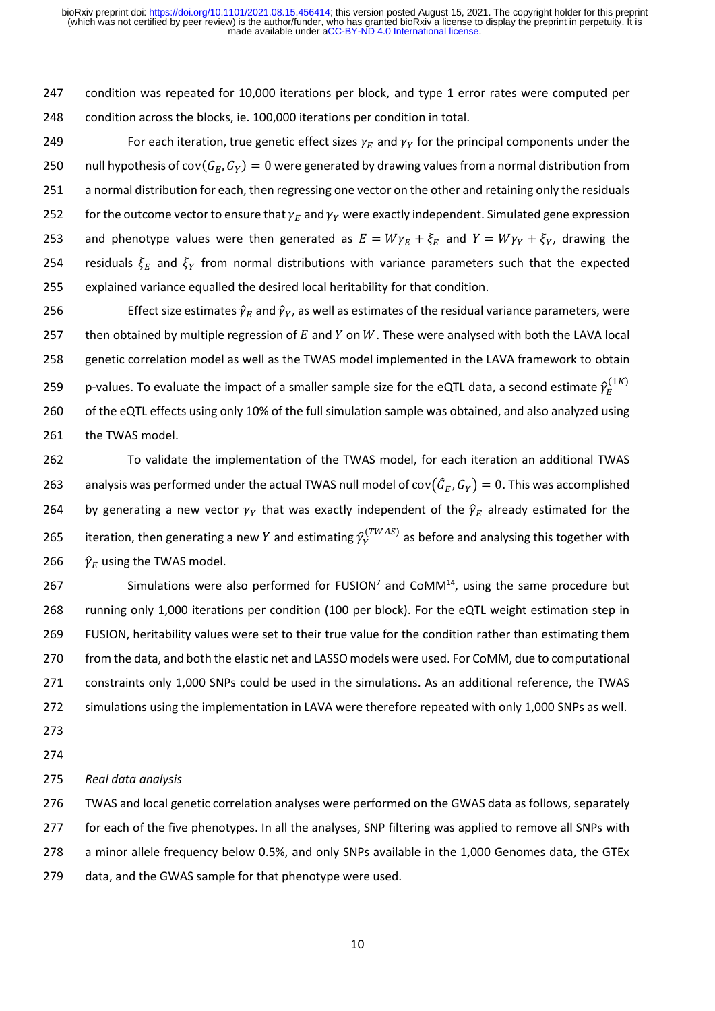247 condition was repeated for 10,000 iterations per block, and type 1 error rates were computed per 248 condition across the blocks, ie. 100,000 iterations per condition in total.

249 For each iteration, true genetic effect sizes  $\gamma_E$  and  $\gamma_Y$  for the principal components under the 250 null hypothesis of cov $(G_F, G_V) = 0$  were generated by drawing values from a normal distribution from 251 a normal distribution for each, then regressing one vector on the other and retaining only the residuals 252 for the outcome vector to ensure that  $\gamma_E$  and  $\gamma_Y$  were exactly independent. Simulated gene expression 253 and phenotype values were then generated as  $E = W \gamma_E + \xi_E$  and  $Y = W \gamma_Y + \xi_Y$ , drawing the 254 residuals  $\xi_E$  and  $\xi_Y$  from normal distributions with variance parameters such that the expected 255 explained variance equalled the desired local heritability for that condition.

256 Effect size estimates  $\hat{\gamma}_F$  and  $\hat{\gamma}_V$ , as well as estimates of the residual variance parameters, were 257 then obtained by multiple regression of  $E$  and  $Y$  on  $W$ . These were analysed with both the LAVA local 258 genetic correlation model as well as the TWAS model implemented in the LAVA framework to obtain p-values. To evaluate the impact of a smaller sample size for the eQTL data, a second estimate  $\hat{\gamma}^{(1K)}_E$ 259 260 of the eQTL effects using only 10% of the full simulation sample was obtained, and also analyzed using 261 the TWAS model.

262 To validate the implementation of the TWAS model, for each iteration an additional TWAS 263 analysis was performed under the actual TWAS null model of  $cov(\hat{G}_E, G_Y) = 0$ . This was accomplished 264 by generating a new vector  $\gamma_Y$  that was exactly independent of the  $\hat{\gamma}_E$  already estimated for the 265 iteration, then generating a new Y and estimating  $\hat{\gamma}_{Y}^{(TWAS)}$  as before and analysing this together with 266  $\hat{\gamma}_E$  using the TWAS model.

267 Simulations were also performed for  $FUSION<sup>7</sup>$  and  $COMM<sup>14</sup>$ , using the same procedure but running only 1,000 iterations per condition (100 per block). For the eQTL weight estimation step in FUSION, heritability values were set to their true value for the condition rather than estimating them from the data, and both the elastic net and LASSO models were used. For CoMM, due to computational constraints only 1,000 SNPs could be used in the simulations. As an additional reference, the TWAS simulations using the implementation in LAVA were therefore repeated with only 1,000 SNPs as well.

273

274

275 *Real data analysis*

 TWAS and local genetic correlation analyses were performed on the GWAS data as follows, separately 277 for each of the five phenotypes. In all the analyses, SNP filtering was applied to remove all SNPs with a minor allele frequency below 0.5%, and only SNPs available in the 1,000 Genomes data, the GTEx data, and the GWAS sample for that phenotype were used.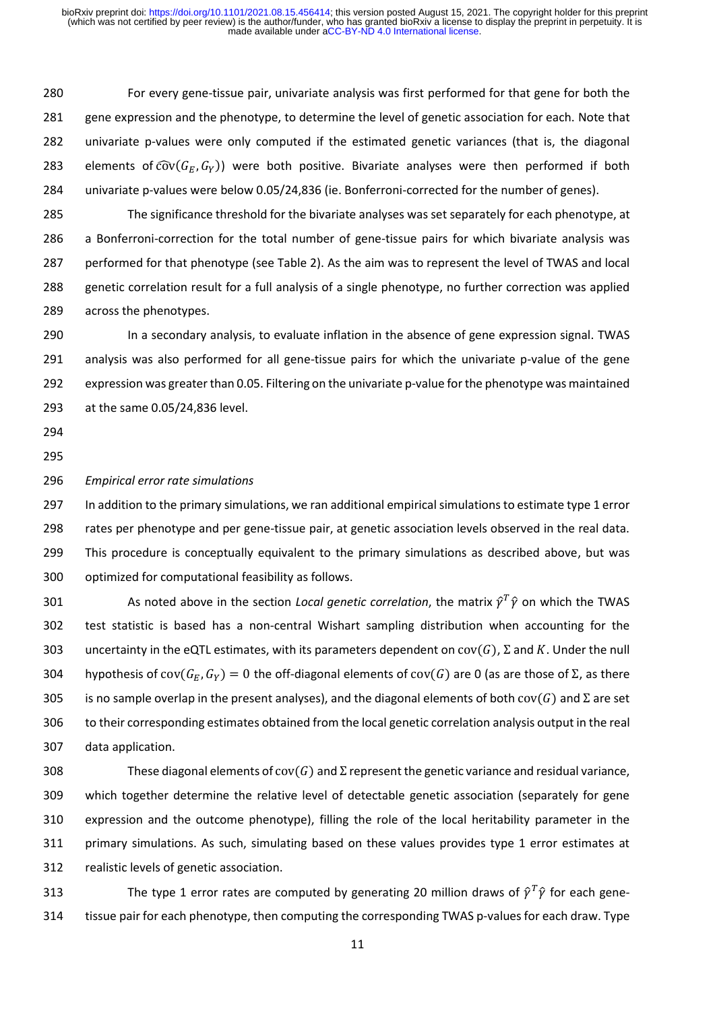For every gene-tissue pair, univariate analysis was first performed for that gene for both the gene expression and the phenotype, to determine the level of genetic association for each. Note that univariate p-values were only computed if the estimated genetic variances (that is, the diagonal 283 elements of  $\widehat{cov}(G_F, G_V)$  were both positive. Bivariate analyses were then performed if both univariate p-values were below 0.05/24,836 (ie. Bonferroni-corrected for the number of genes).

 The significance threshold for the bivariate analyses was set separately for each phenotype, at a Bonferroni-correction for the total number of gene-tissue pairs for which bivariate analysis was performed for that phenotype (see Table 2). As the aim was to represent the level of TWAS and local genetic correlation result for a full analysis of a single phenotype, no further correction was applied across the phenotypes.

 In a secondary analysis, to evaluate inflation in the absence of gene expression signal. TWAS analysis was also performed for all gene-tissue pairs for which the univariate p-value of the gene expression was greater than 0.05. Filtering on the univariate p-value for the phenotype was maintained at the same 0.05/24,836 level.

- 
- 

#### *Empirical error rate simulations*

 In addition to the primary simulations, we ran additional empirical simulations to estimate type 1 error rates per phenotype and per gene-tissue pair, at genetic association levels observed in the real data. This procedure is conceptually equivalent to the primary simulations as described above, but was optimized for computational feasibility as follows.

301 As noted above in the section *Local genetic correlation*, the matrix  $\hat{\gamma}^T \hat{\gamma}$  on which the TWAS test statistic is based has a non-central Wishart sampling distribution when accounting for the 303 uncertainty in the eQTL estimates, with its parameters dependent on  $cov(G)$ ,  $\Sigma$  and K. Under the null hypothesis of cov( $G_F$ ,  $G_V$ ) = 0 the off-diagonal elements of cov(G) are 0 (as are those of Σ, as there 305 is no sample overlap in the present analyses), and the diagonal elements of both  $cov(G)$  and  $\Sigma$  are set to their corresponding estimates obtained from the local genetic correlation analysis output in the real data application.

308 These diagonal elements of cov( $G$ ) and  $\Sigma$  represent the genetic variance and residual variance, which together determine the relative level of detectable genetic association (separately for gene expression and the outcome phenotype), filling the role of the local heritability parameter in the primary simulations. As such, simulating based on these values provides type 1 error estimates at realistic levels of genetic association.

313 The type 1 error rates are computed by generating 20 million draws of  $\hat{\gamma}^T\hat{\gamma}$  for each gene-tissue pair for each phenotype, then computing the corresponding TWAS p-values for each draw. Type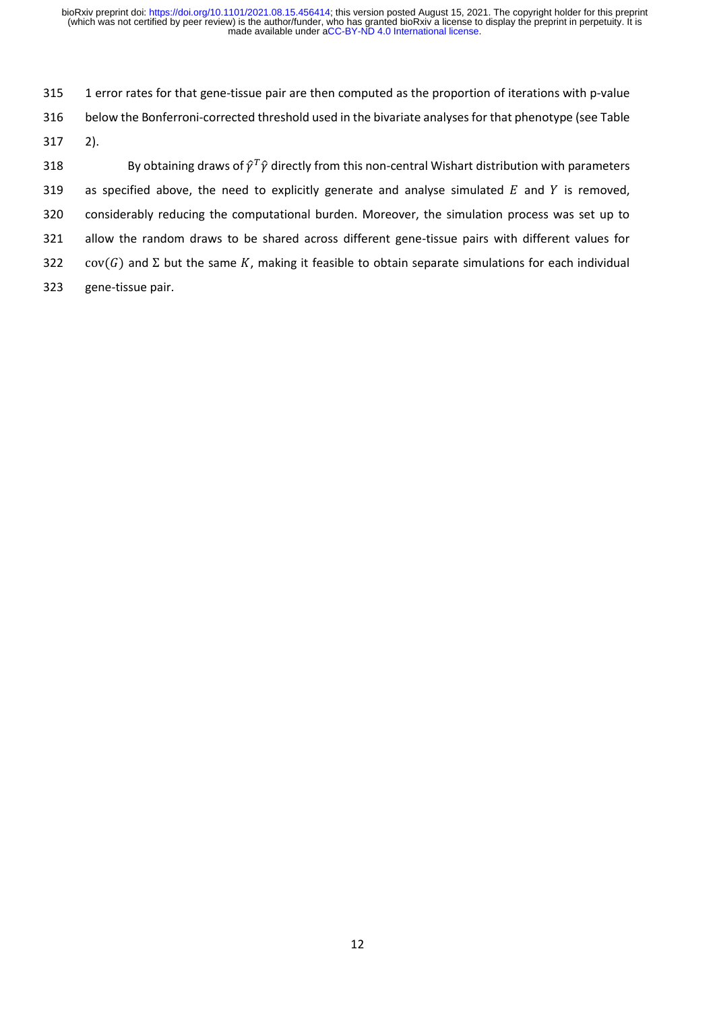315 1 error rates for that gene-tissue pair are then computed as the proportion of iterations with p-value 316 below the Bonferroni-corrected threshold used in the bivariate analyses for that phenotype (see Table 317 2).

318 By obtaining draws of  $\hat{\gamma}^T\hat{\gamma}$  directly from this non-central Wishart distribution with parameters 319 as specified above, the need to explicitly generate and analyse simulated  $E$  and  $Y$  is removed, 320 considerably reducing the computational burden. Moreover, the simulation process was set up to 321 allow the random draws to be shared across different gene-tissue pairs with different values for 322 cov(G) and  $\Sigma$  but the same K, making it feasible to obtain separate simulations for each individual 323 gene-tissue pair.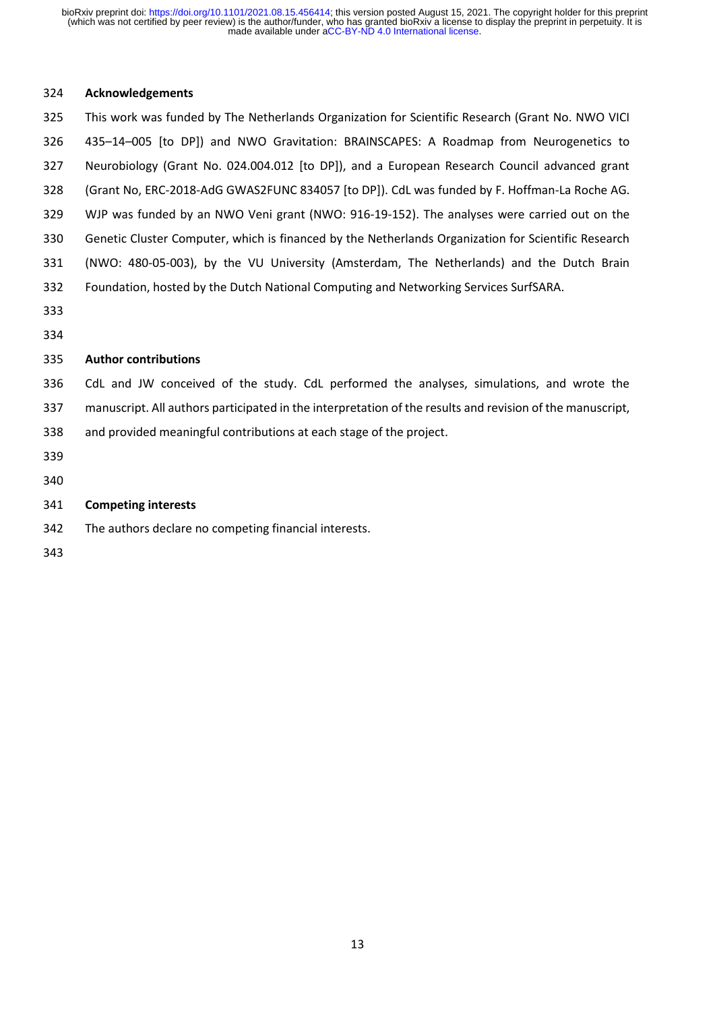### **Acknowledgements**

 This work was funded by The Netherlands Organization for Scientific Research (Grant No. NWO VICI 435–14–005 [to DP]) and NWO Gravitation: BRAINSCAPES: A Roadmap from Neurogenetics to Neurobiology (Grant No. 024.004.012 [to DP]), and a European Research Council advanced grant (Grant No, ERC-2018-AdG GWAS2FUNC 834057 [to DP]). CdL was funded by F. Hoffman-La Roche AG. WJP was funded by an NWO Veni grant (NWO: 916-19-152). The analyses were carried out on the Genetic Cluster Computer, which is financed by the Netherlands Organization for Scientific Research (NWO: 480-05-003), by the VU University (Amsterdam, The Netherlands) and the Dutch Brain Foundation, hosted by the Dutch National Computing and Networking Services SurfSARA. 

### **Author contributions**

CdL and JW conceived of the study. CdL performed the analyses, simulations, and wrote the

- manuscript. All authors participated in the interpretation of the results and revision of the manuscript,
- and provided meaningful contributions at each stage of the project.
- 
- 

## **Competing interests**

- The authors declare no competing financial interests.
-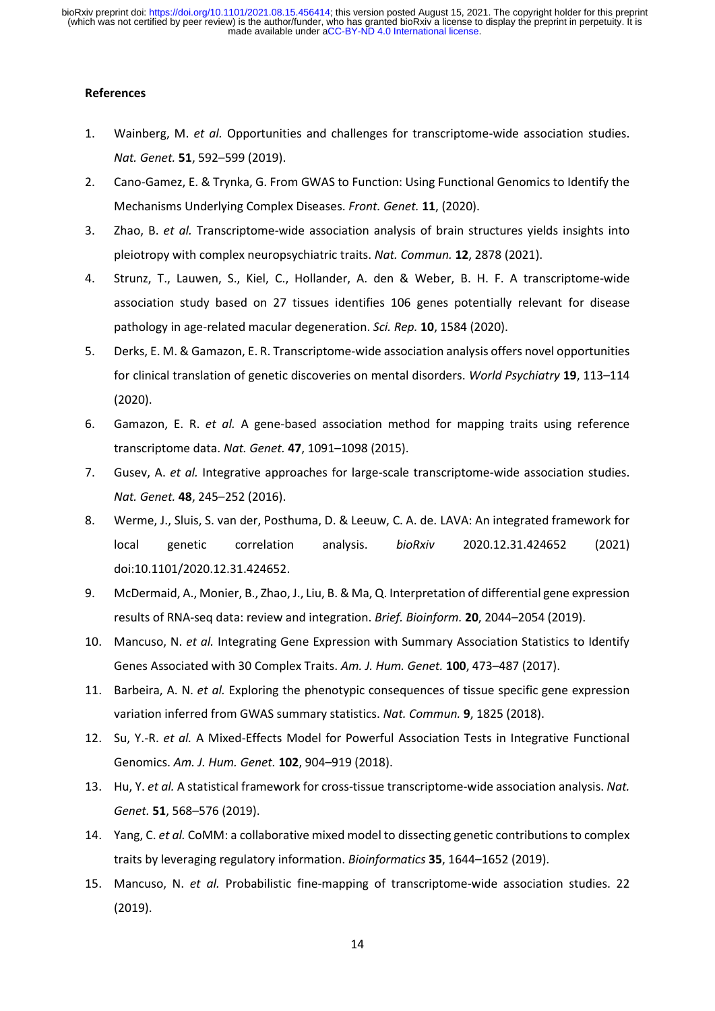#### **References**

- 1. Wainberg, M. *et al.* Opportunities and challenges for transcriptome-wide association studies. *Nat. Genet.* **51**, 592–599 (2019).
- 2. Cano-Gamez, E. & Trynka, G. From GWAS to Function: Using Functional Genomics to Identify the Mechanisms Underlying Complex Diseases. *Front. Genet.* **11**, (2020).
- 3. Zhao, B. *et al.* Transcriptome-wide association analysis of brain structures yields insights into pleiotropy with complex neuropsychiatric traits. *Nat. Commun.* **12**, 2878 (2021).
- 4. Strunz, T., Lauwen, S., Kiel, C., Hollander, A. den & Weber, B. H. F. A transcriptome-wide association study based on 27 tissues identifies 106 genes potentially relevant for disease pathology in age-related macular degeneration. *Sci. Rep.* **10**, 1584 (2020).
- 5. Derks, E. M. & Gamazon, E. R. Transcriptome‐wide association analysis offers novel opportunities for clinical translation of genetic discoveries on mental disorders. *World Psychiatry* **19**, 113–114 (2020).
- 6. Gamazon, E. R. *et al.* A gene-based association method for mapping traits using reference transcriptome data. *Nat. Genet.* **47**, 1091–1098 (2015).
- 7. Gusev, A. *et al.* Integrative approaches for large-scale transcriptome-wide association studies. *Nat. Genet.* **48**, 245–252 (2016).
- 8. Werme, J., Sluis, S. van der, Posthuma, D. & Leeuw, C. A. de. LAVA: An integrated framework for local genetic correlation analysis. *bioRxiv* 2020.12.31.424652 (2021) doi:10.1101/2020.12.31.424652.
- 9. McDermaid, A., Monier, B., Zhao, J., Liu, B. & Ma, Q. Interpretation of differential gene expression results of RNA-seq data: review and integration. *Brief. Bioinform.* **20**, 2044–2054 (2019).
- 10. Mancuso, N. *et al.* Integrating Gene Expression with Summary Association Statistics to Identify Genes Associated with 30 Complex Traits. *Am. J. Hum. Genet.* **100**, 473–487 (2017).
- 11. Barbeira, A. N. *et al.* Exploring the phenotypic consequences of tissue specific gene expression variation inferred from GWAS summary statistics. *Nat. Commun.* **9**, 1825 (2018).
- 12. Su, Y.-R. *et al.* A Mixed-Effects Model for Powerful Association Tests in Integrative Functional Genomics. *Am. J. Hum. Genet.* **102**, 904–919 (2018).
- 13. Hu, Y. *et al.* A statistical framework for cross-tissue transcriptome-wide association analysis. *Nat. Genet.* **51**, 568–576 (2019).
- 14. Yang, C. *et al.* CoMM: a collaborative mixed model to dissecting genetic contributions to complex traits by leveraging regulatory information. *Bioinformatics* **35**, 1644–1652 (2019).
- 15. Mancuso, N. *et al.* Probabilistic fine-mapping of transcriptome-wide association studies. 22 (2019).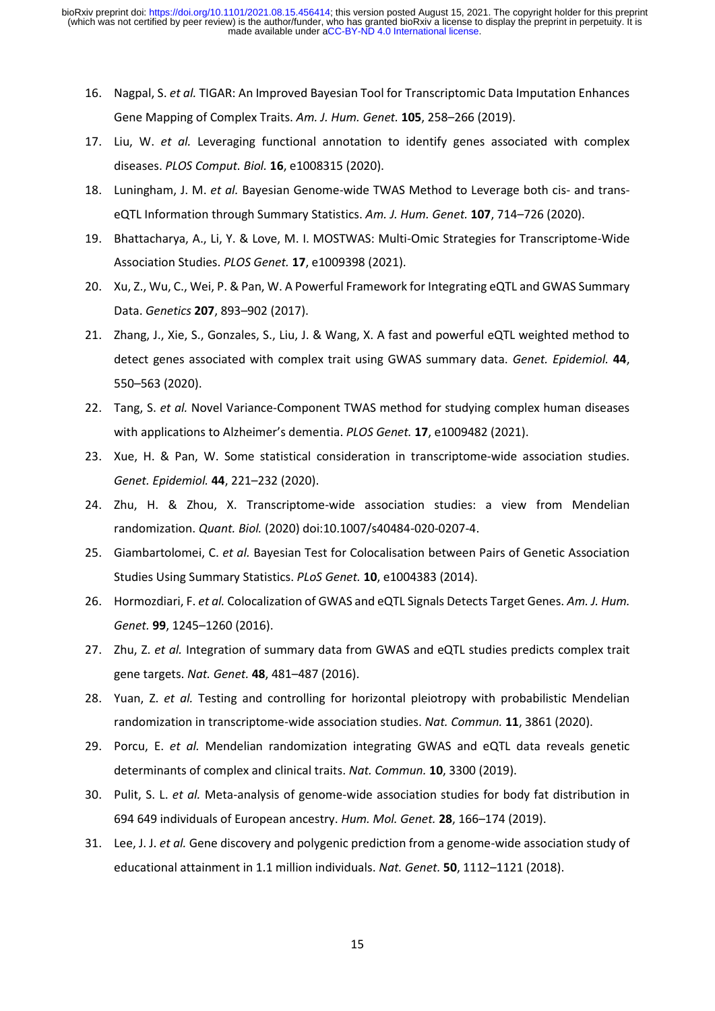- 16. Nagpal, S. *et al.* TIGAR: An Improved Bayesian Tool for Transcriptomic Data Imputation Enhances Gene Mapping of Complex Traits. *Am. J. Hum. Genet.* **105**, 258–266 (2019).
- 17. Liu, W. *et al.* Leveraging functional annotation to identify genes associated with complex diseases. *PLOS Comput. Biol.* **16**, e1008315 (2020).
- 18. Luningham, J. M. *et al.* Bayesian Genome-wide TWAS Method to Leverage both cis- and transeQTL Information through Summary Statistics. *Am. J. Hum. Genet.* **107**, 714–726 (2020).
- 19. Bhattacharya, A., Li, Y. & Love, M. I. MOSTWAS: Multi-Omic Strategies for Transcriptome-Wide Association Studies. *PLOS Genet.* **17**, e1009398 (2021).
- 20. Xu, Z., Wu, C., Wei, P. & Pan, W. A Powerful Framework for Integrating eQTL and GWAS Summary Data. *Genetics* **207**, 893–902 (2017).
- 21. Zhang, J., Xie, S., Gonzales, S., Liu, J. & Wang, X. A fast and powerful eQTL weighted method to detect genes associated with complex trait using GWAS summary data. *Genet. Epidemiol.* **44**, 550–563 (2020).
- 22. Tang, S. *et al.* Novel Variance-Component TWAS method for studying complex human diseases with applications to Alzheimer's dementia. *PLOS Genet.* **17**, e1009482 (2021).
- 23. Xue, H. & Pan, W. Some statistical consideration in transcriptome‐wide association studies. *Genet. Epidemiol.* **44**, 221–232 (2020).
- 24. Zhu, H. & Zhou, X. Transcriptome-wide association studies: a view from Mendelian randomization. *Quant. Biol.* (2020) doi:10.1007/s40484-020-0207-4.
- 25. Giambartolomei, C. *et al.* Bayesian Test for Colocalisation between Pairs of Genetic Association Studies Using Summary Statistics. *PLoS Genet.* **10**, e1004383 (2014).
- 26. Hormozdiari, F. *et al.* Colocalization of GWAS and eQTL Signals Detects Target Genes. *Am. J. Hum. Genet.* **99**, 1245–1260 (2016).
- 27. Zhu, Z. *et al.* Integration of summary data from GWAS and eQTL studies predicts complex trait gene targets. *Nat. Genet.* **48**, 481–487 (2016).
- 28. Yuan, Z. *et al.* Testing and controlling for horizontal pleiotropy with probabilistic Mendelian randomization in transcriptome-wide association studies. *Nat. Commun.* **11**, 3861 (2020).
- 29. Porcu, E. *et al.* Mendelian randomization integrating GWAS and eQTL data reveals genetic determinants of complex and clinical traits. *Nat. Commun.* **10**, 3300 (2019).
- 30. Pulit, S. L. *et al.* Meta-analysis of genome-wide association studies for body fat distribution in 694 649 individuals of European ancestry. *Hum. Mol. Genet.* **28**, 166–174 (2019).
- 31. Lee, J. J. *et al.* Gene discovery and polygenic prediction from a genome-wide association study of educational attainment in 1.1 million individuals. *Nat. Genet.* **50**, 1112–1121 (2018).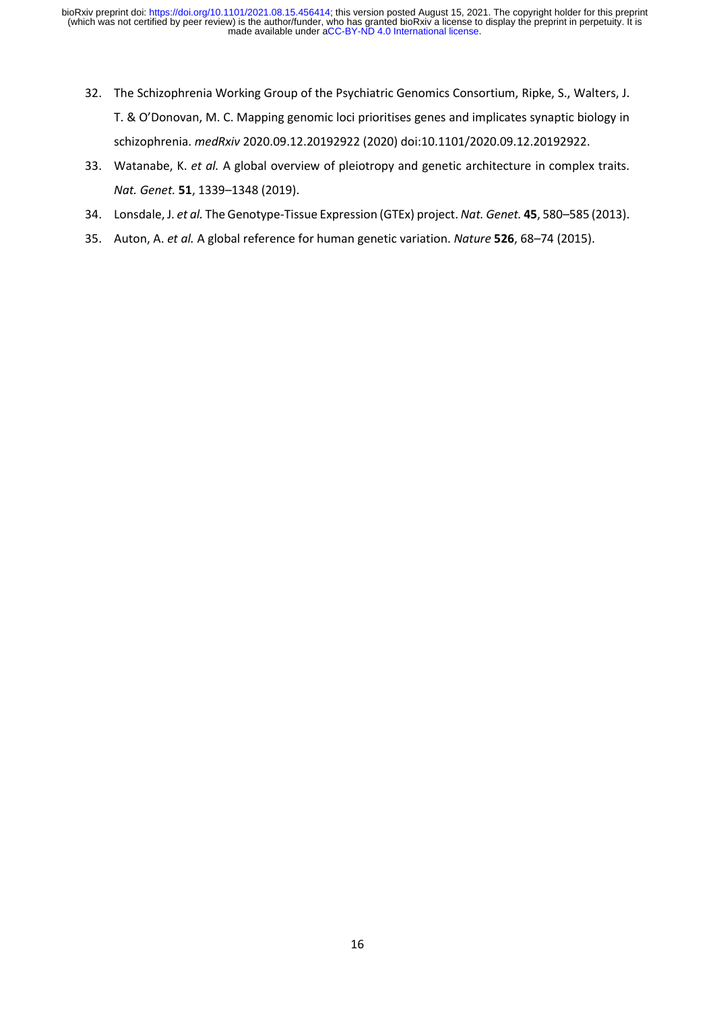- 32. The Schizophrenia Working Group of the Psychiatric Genomics Consortium, Ripke, S., Walters, J. T. & O'Donovan, M. C. Mapping genomic loci prioritises genes and implicates synaptic biology in schizophrenia. *medRxiv* 2020.09.12.20192922 (2020) doi:10.1101/2020.09.12.20192922.
- 33. Watanabe, K. *et al.* A global overview of pleiotropy and genetic architecture in complex traits. *Nat. Genet.* **51**, 1339–1348 (2019).
- 34. Lonsdale, J. *et al.* The Genotype-Tissue Expression (GTEx) project. *Nat. Genet.* **45**, 580–585 (2013).
- 35. Auton, A. *et al.* A global reference for human genetic variation. *Nature* **526**, 68–74 (2015).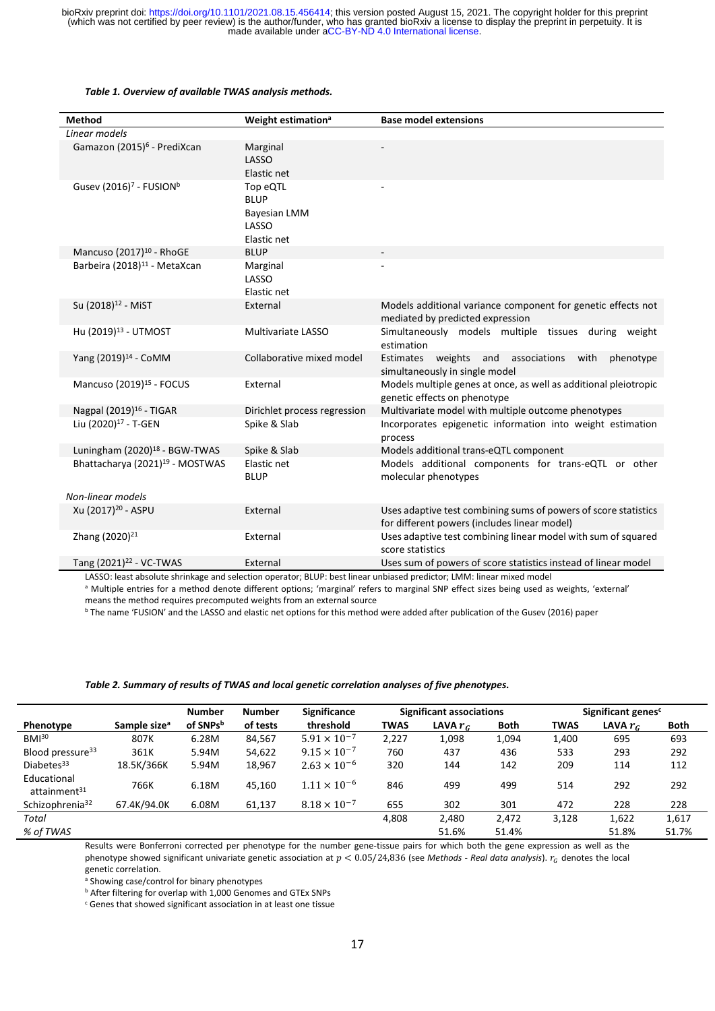#### *Table 1. Overview of available TWAS analysis methods.*

| <b>Method</b>                                   | Weight estimation <sup>a</sup>                                         | <b>Base model extensions</b>                                                                                    |
|-------------------------------------------------|------------------------------------------------------------------------|-----------------------------------------------------------------------------------------------------------------|
| Linear models                                   |                                                                        |                                                                                                                 |
| Gamazon (2015) <sup>6</sup> - PrediXcan         | Marginal<br>LASSO<br>Elastic net                                       |                                                                                                                 |
| Gusev (2016) <sup>7</sup> - FUSION <sup>b</sup> | Top eQTL<br><b>BLUP</b><br><b>Bayesian LMM</b><br>LASSO<br>Elastic net |                                                                                                                 |
| Mancuso (2017) <sup>10</sup> - RhoGE            | <b>BLUP</b>                                                            |                                                                                                                 |
| Barbeira (2018) <sup>11</sup> - MetaXcan        | Marginal<br>LASSO<br>Elastic net                                       |                                                                                                                 |
| Su (2018) <sup>12</sup> - MiST                  | External                                                               | Models additional variance component for genetic effects not<br>mediated by predicted expression                |
| Hu (2019) <sup>13</sup> - UTMOST                | Multivariate LASSO                                                     | Simultaneously models multiple tissues during weight<br>estimation                                              |
| Yang (2019) <sup>14</sup> - CoMM                | Collaborative mixed model                                              | Estimates weights and associations<br>with<br>phenotype<br>simultaneously in single model                       |
| Mancuso (2019) <sup>15</sup> - FOCUS            | External                                                               | Models multiple genes at once, as well as additional pleiotropic<br>genetic effects on phenotype                |
| Nagpal (2019) <sup>16</sup> - TIGAR             | Dirichlet process regression                                           | Multivariate model with multiple outcome phenotypes                                                             |
| Liu (2020) <sup>17</sup> - T-GEN                | Spike & Slab                                                           | Incorporates epigenetic information into weight estimation<br>process                                           |
| Luningham (2020) <sup>18</sup> - BGW-TWAS       | Spike & Slab                                                           | Models additional trans-eQTL component                                                                          |
| Bhattacharya (2021) <sup>19</sup> - MOSTWAS     | Elastic net<br><b>BLUP</b>                                             | Models additional components for trans-eQTL or other<br>molecular phenotypes                                    |
| Non-linear models                               |                                                                        |                                                                                                                 |
| Xu (2017) <sup>20</sup> - ASPU                  | External                                                               | Uses adaptive test combining sums of powers of score statistics<br>for different powers (includes linear model) |
| Zhang (2020) <sup>21</sup>                      | External                                                               | Uses adaptive test combining linear model with sum of squared<br>score statistics                               |
| Tang (2021) <sup>22</sup> - VC-TWAS             | External                                                               | Uses sum of powers of score statistics instead of linear model                                                  |

LASSO: least absolute shrinkage and selection operator; BLUP: best linear unbiased predictor; LMM: linear mixed model a Multiple entries for a method denote different options; 'marginal' refers to marginal SNP effect sizes being used as weights, 'external' means the method requires precomputed weights from an external source

<sup>b</sup> The name 'FUSION' and the LASSO and elastic net options for this method were added after publication of the Gusev (2016) paper

#### *Table 2. Summary of results of TWAS and local genetic correlation analyses of five phenotypes.*

|                                         |                          | <b>Number</b> | <b>Number</b> | <b>Significance</b>   | <b>Significant associations</b> |            |       | Significant genes <sup>c</sup> |            |             |
|-----------------------------------------|--------------------------|---------------|---------------|-----------------------|---------------------------------|------------|-------|--------------------------------|------------|-------------|
| Phenotype                               | Sample size <sup>a</sup> | of SNPsb      | of tests      | threshold             | <b>TWAS</b>                     | LAVA $r_c$ | Both  | <b>TWAS</b>                    | LAVA $r_c$ | <b>Both</b> |
| BMI <sup>30</sup>                       | 807K                     | 6.28M         | 84,567        | $5.91 \times 10^{-7}$ | 2,227                           | 1,098      | 1,094 | 1,400                          | 695        | 693         |
| Blood pressure <sup>33</sup>            | 361K                     | 5.94M         | 54,622        | $9.15 \times 10^{-7}$ | 760                             | 437        | 436   | 533                            | 293        | 292         |
| Diabetes <sup>33</sup>                  | 18.5K/366K               | 5.94M         | 18,967        | $2.63 \times 10^{-6}$ | 320                             | 144        | 142   | 209                            | 114        | 112         |
| Educational<br>attainment <sup>31</sup> | 766K                     | 6.18M         | 45.160        | $1.11 \times 10^{-6}$ | 846                             | 499        | 499   | 514                            | 292        | 292         |
| Schizophrenia <sup>32</sup>             | 67.4K/94.0K              | 6.08M         | 61,137        | $8.18 \times 10^{-7}$ | 655                             | 302        | 301   | 472                            | 228        | 228         |
| Total                                   |                          |               |               |                       | 4,808                           | 2,480      | 2,472 | 3,128                          | 1,622      | 1,617       |
| % of TWAS                               |                          |               |               |                       |                                 | 51.6%      | 51.4% |                                | 51.8%      | 51.7%       |

Results were Bonferroni corrected per phenotype for the number gene-tissue pairs for which both the gene expression as well as the phenotype showed significant univariate genetic association at  $p < 0.05/24,836$  (see *Methods - Real data analysis*).  $r_c$  denotes the local genetic correlation.

<sup>a</sup> Showing case/control for binary phenotypes

**b** After filtering for overlap with 1,000 Genomes and GTEx SNPs

<sup>c</sup> Genes that showed significant association in at least one tissue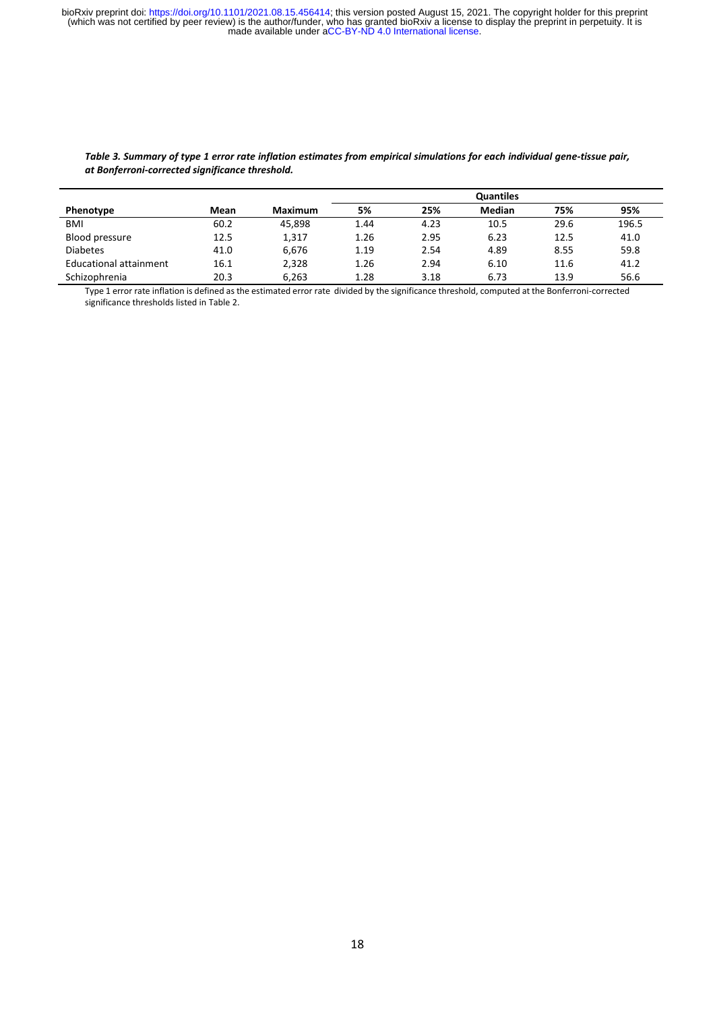|                        |      |                | <b>Quantiles</b> |      |               |      |       |
|------------------------|------|----------------|------------------|------|---------------|------|-------|
| Phenotype              | Mean | <b>Maximum</b> | 5%               | 25%  | <b>Median</b> | 75%  | 95%   |
| <b>BMI</b>             | 60.2 | 45.898         | 1.44             | 4.23 | 10.5          | 29.6 | 196.5 |
| Blood pressure         | 12.5 | 1,317          | 1.26             | 2.95 | 6.23          | 12.5 | 41.0  |
| <b>Diabetes</b>        | 41.0 | 6,676          | 1.19             | 2.54 | 4.89          | 8.55 | 59.8  |
| Educational attainment | 16.1 | 2,328          | 1.26             | 2.94 | 6.10          | 11.6 | 41.2  |
| Schizophrenia          | 20.3 | 6.263          | 1.28             | 3.18 | 6.73          | 13.9 | 56.6  |

#### *Table 3. Summary of type 1 error rate inflation estimates from empirical simulations for each individual gene-tissue pair, at Bonferroni-corrected significance threshold.*

Type 1 error rate inflation is defined as the estimated error rate divided by the significance threshold, computed at the Bonferroni-corrected significance thresholds listed in Table 2.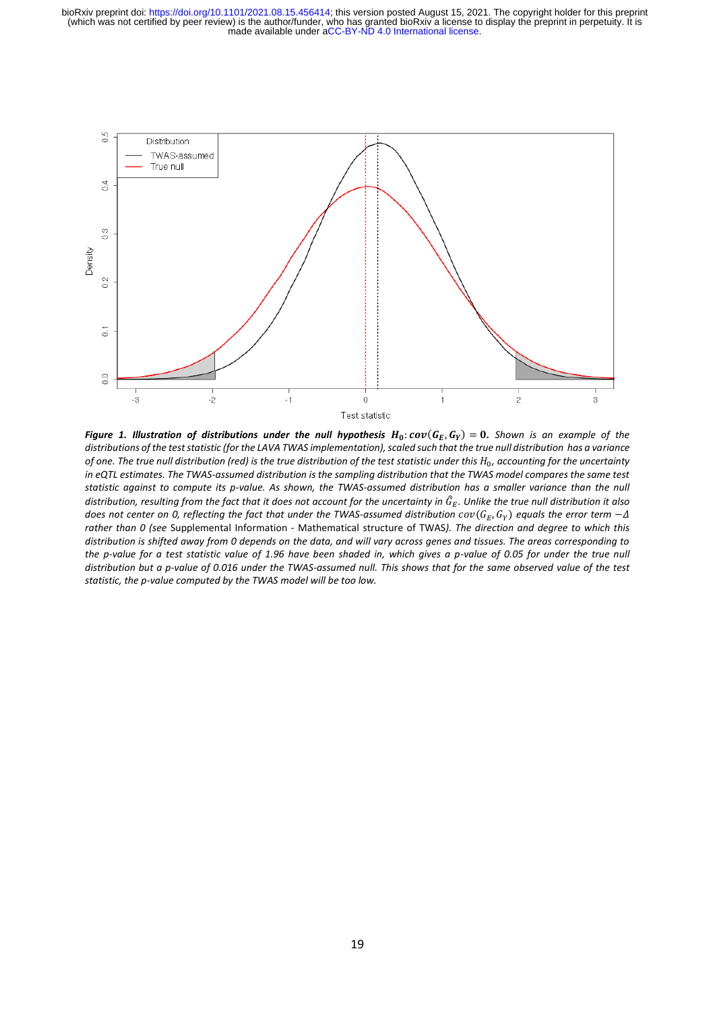

**Figure 1. Illustration of distributions under the null hypothesis**  $H_0$ **:**  $cov(G_E, G_Y) = 0.$  **Shown is an example of the** *distributions of the test statistic (for the LAVA TWAS implementation), scaled such that the true null distribution has a variance of one. The true null distribution (red) is the true distribution of the test statistic under this*  $H_0$ *, accounting for the uncertainty in eQTL estimates. The TWAS-assumed distribution is the sampling distribution that the TWAS model compares the same test statistic against to compute its p-value. As shown, the TWAS-assumed distribution has a smaller variance than the null*  distribution, resulting from the fact that it does not account for the uncertainty in  $\widehat G_E.$  Unlike the true null distribution it also does not center on 0, reflecting the fact that under the TWAS-assumed distribution  $cov(G_E,G_Y)$  equals the error term  $-\varDelta$ *rather than 0 (see* Supplemental Information - Mathematical structure of TWAS*). The direction and degree to which this distribution is shifted away from 0 depends on the data, and will vary across genes and tissues. The areas corresponding to the p-value for a test statistic value of 1.96 have been shaded in, which gives a p-value of 0.05 for under the true null distribution but a p-value of 0.016 under the TWAS-assumed null. This shows that for the same observed value of the test statistic, the p-value computed by the TWAS model will be too low.*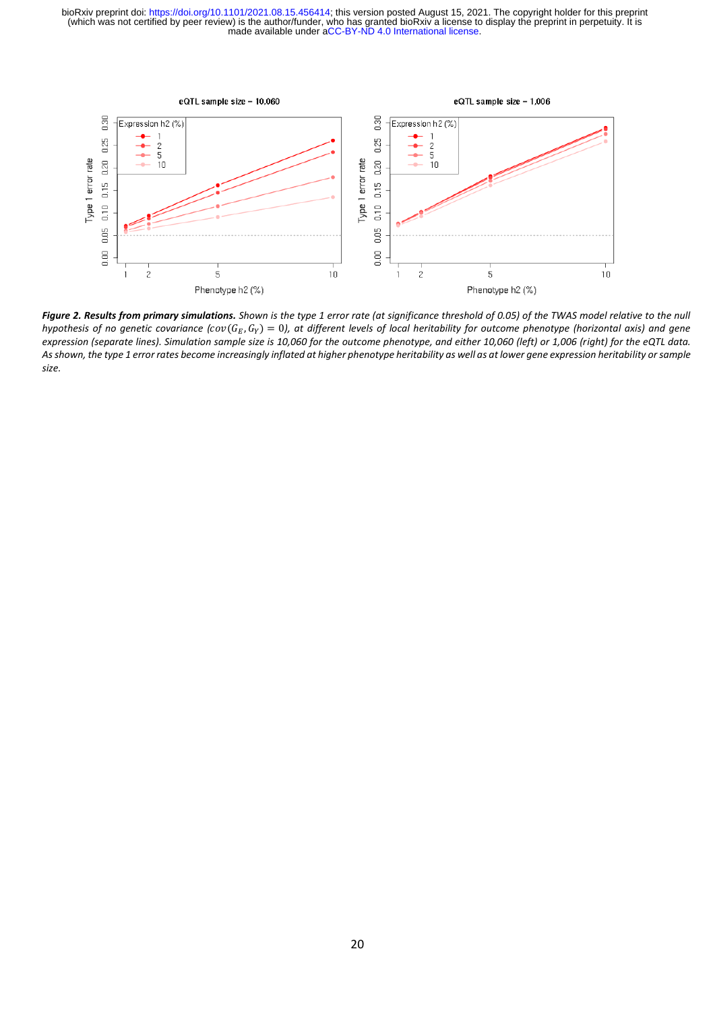

*Figure 2. Results from primary simulations. Shown is the type 1 error rate (at significance threshold of 0.05) of the TWAS model relative to the null*  hypothesis of no genetic covariance (cov(G<sub>E</sub>, G<sub>Y</sub>) = 0), at different levels of local heritability for outcome phenotype (horizontal axis) and gene *expression (separate lines). Simulation sample size is 10,060 for the outcome phenotype, and either 10,060 (left) or 1,006 (right) for the eQTL data. As shown, the type 1 error rates become increasingly inflated at higher phenotype heritability as well as at lower gene expression heritability or sample size.*